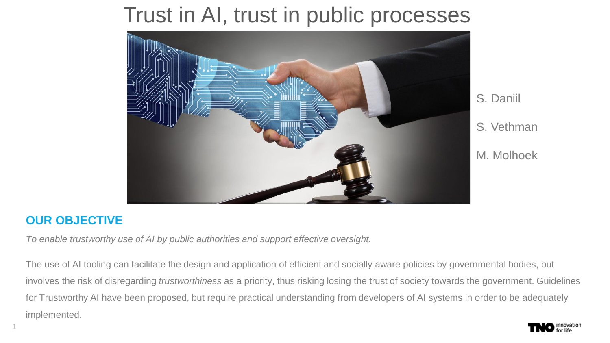#### Trust in AI, trust in public processes



#### S. Daniil S. Vethman M. Molhoek

#### **OUR OBJECTIVE**

 $1$   $\sim$   $\sim$   $\sim$   $\sim$ 

*To enable trustworthy use of AI by public authorities and support effective oversight.*

The use of AI tooling can facilitate the design and application of efficient and socially aware policies by governmental bodies, but involves the risk of disregarding *trustworthiness* as a priority, thus risking losing the trust of society towards the government. Guidelines for Trustworthy AI have been proposed, but require practical understanding from developers of AI systems in order to be adequately implemented.

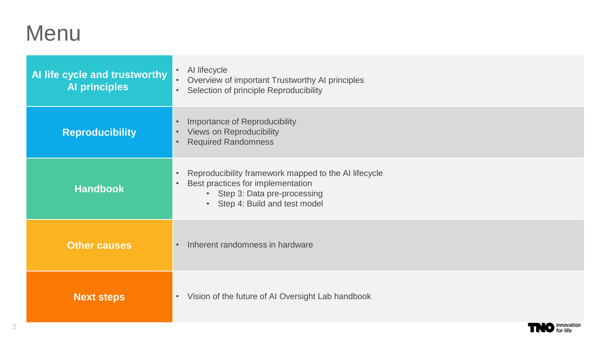#### Menu

| Al life cycle and trustworthy<br><b>Al principles</b> | AI lifecycle<br>$\bullet$<br>Overview of important Trustworthy AI principles<br>$\bullet$<br>Selection of principle Reproducibility<br>$\bullet$                                                             |  |  |  |
|-------------------------------------------------------|--------------------------------------------------------------------------------------------------------------------------------------------------------------------------------------------------------------|--|--|--|
| <b>Reproducibility</b>                                | Importance of Reproducibility<br>$\bullet$<br>Views on Reproducibility<br>$\bullet$<br><b>Required Randomness</b><br>$\bullet$                                                                               |  |  |  |
| <b>Handbook</b>                                       | Reproducibility framework mapped to the AI lifecycle<br>$\bullet$<br>Best practices for implementation<br>$\bullet$<br>Step 3: Data pre-processing<br>$\bullet$<br>Step 4: Build and test model<br>$\bullet$ |  |  |  |
| <b>Other causes</b>                                   | Inherent randomness in hardware                                                                                                                                                                              |  |  |  |
| <b>Next steps</b>                                     | Vision of the future of AI Oversight Lab handbook<br>$\bullet$                                                                                                                                               |  |  |  |

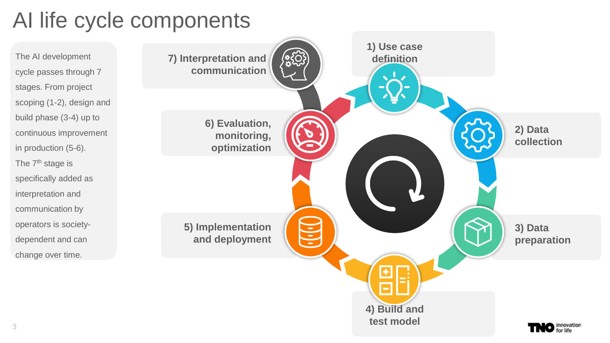## AI life cycle components

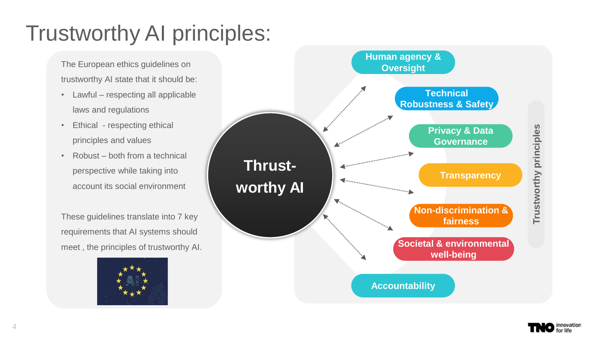## Trustworthy AI principles:

The European ethics guidelines on trustworthy AI state that it should be:

- Lawful respecting all applicable laws and regulations
- Ethical respecting ethical principles and values
- Robust both from a technical perspective while taking into account its social environment

These guidelines translate into 7 key requirements that AI systems should meet , the principles of trustworthy AI.





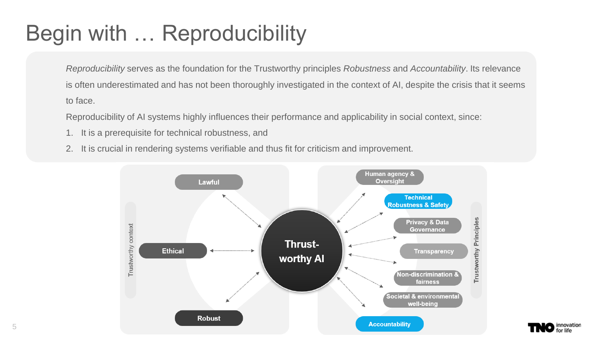## Begin with … Reproducibility

*Reproducibility* serves as the foundation for the Trustworthy principles *Robustness* and *Accountability*. Its relevance is often underestimated and has not been thoroughly investigated in the context of AI, despite the crisis that it seems to face.

Reproducibility of AI systems highly influences their performance and applicability in social context, since:

- 1. It is a prerequisite for technical robustness, and
- 2. It is crucial in rendering systems verifiable and thus fit for criticism and improvement.



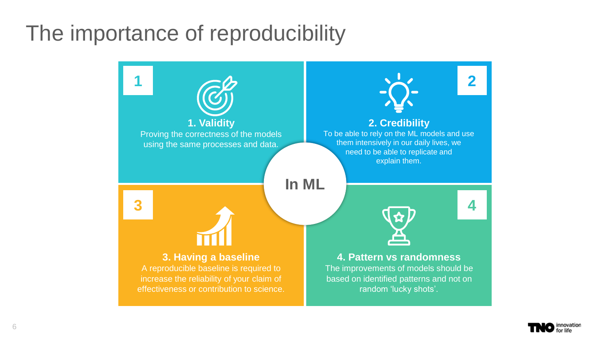#### The importance of reproducibility



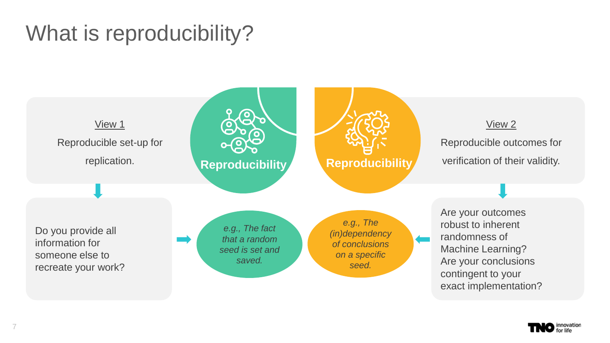## What is reproducibility?



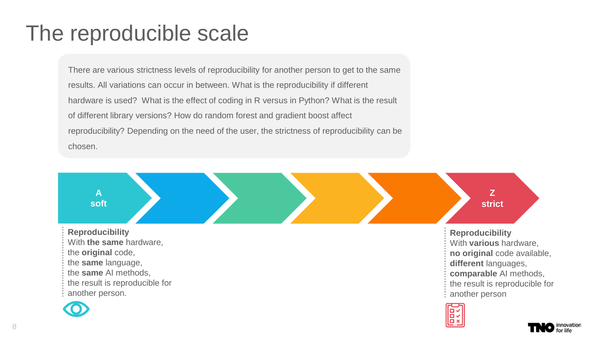#### The reproducible scale

There are various strictness levels of reproducibility for another person to get to the same results. All variations can occur in between. What is the reproducibility if different hardware is used? What is the effect of coding in R versus in Python? What is the result of different library versions? How do random forest and gradient boost affect reproducibility? Depending on the need of the user, the strictness of reproducibility can be chosen.

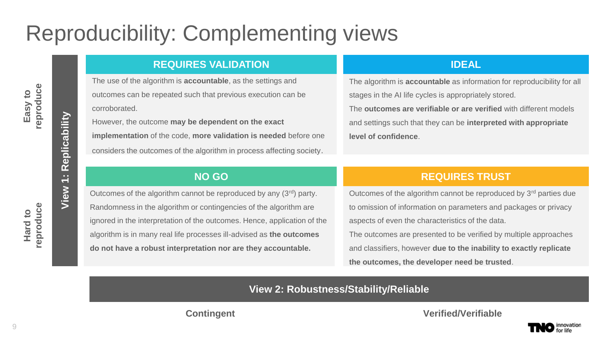## Reproducibility: Complementing views

#### **REQUIRES VALIDATION IDEAL**

The use of the algorithm is **accountable**, as the settings and outcomes can be repeated such that previous execution can be corroborated.

However, the outcome **may be dependent on the exact implementation** of the code, **more validation is needed** before one considers the outcomes of the algorithm in process affecting society.

The algorithm is **accountable** as information for reproducibility for all stages in the AI life cycles is appropriately stored.

The **outcomes are verifiable or are verified** with different models and settings such that they can be **interpreted with appropriate level of confidence**.

Outcomes of the algorithm cannot be reproduced by any (3rd) party. Randomness in the algorithm or contingencies of the algorithm are ignored in the interpretation of the outcomes. Hence, application of the algorithm is in many real life processes ill-advised as **the outcomes do not have a robust interpretation nor are they accountable.**

#### **NO GO REQUIRES TRUST**

Outcomes of the algorithm cannot be reproduced by 3<sup>rd</sup> parties due to omission of information on parameters and packages or privacy aspects of even the characteristics of the data.

The outcomes are presented to be verified by multiple approaches and classifiers, however **due to the inability to exactly replicate the outcomes, the developer need be trusted**.

**View 2: Robustness/Stability/Reliable** 

**Contingent Verified/Verifiable** 

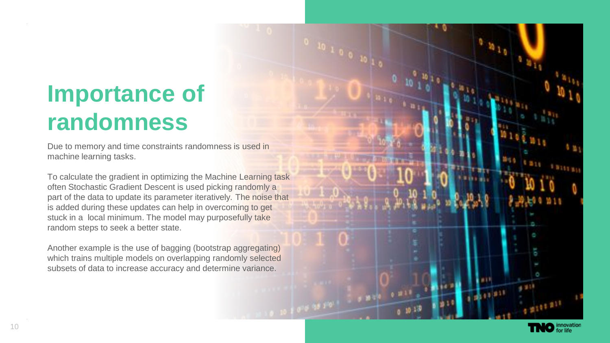# **Importance of randomness**

Due to memory and time constraints randomness is used in machine learning tasks.

To calculate the gradient in optimizing the Machine Learning task often Stochastic Gradient Descent is used picking randomly a part of the data to update its parameter iteratively. The noise that is added during these updates can help in overcoming to get stuck in a local minimum. The model may purposefully take random steps to seek a better state.

Another example is the use of bagging (bootstrap aggregating) which trains multiple models on overlapping randomly selected subsets of data to increase accuracy and determine variance.

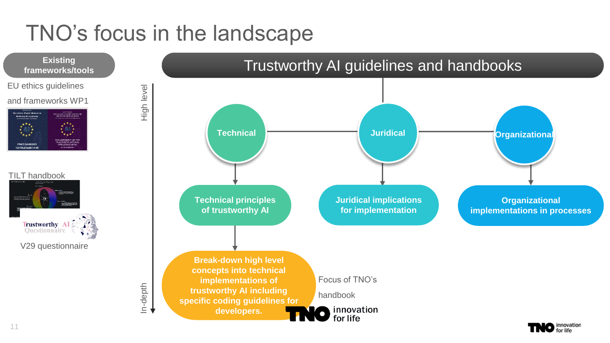## TNO's focus in the landscape

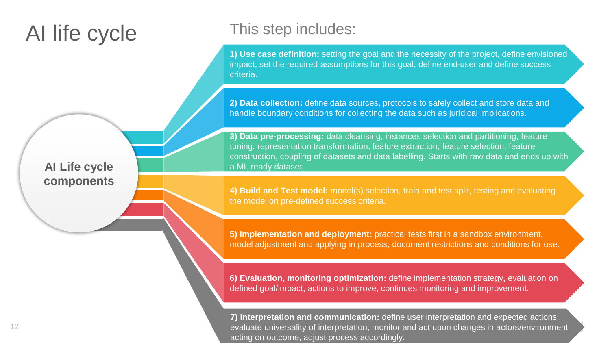#### AI life cycle

**AI Life cycle components**

#### This step includes:

**1) Use case definition:** setting the goal and the necessity of the project, define envisioned impact, set the required assumptions for this goal, define end-user and define success criteria.

**2) Data collection:** define data sources, protocols to safely collect and store data and handle boundary conditions for collecting the data such as juridical implications.

**3) Data pre-processing:** data cleansing, instances selection and partitioning, feature tuning, representation transformation, feature extraction, feature selection, feature construction, coupling of datasets and data labelling. Starts with raw data and ends up with a ML ready dataset.

**4) Build and Test model:** model(s) selection, train and test split, testing and evaluating the model on pre-defined success criteria.

**5) Implementation and deployment:** practical tests first in a sandbox environment, model adjustment and applying in process, document restrictions and conditions for use.

**6) Evaluation, monitoring optimization:** define implementation strategy**,** evaluation on defined goal/impact, actions to improve, continues monitoring and improvement.

**7) Interpretation and communication:** define user interpretation and expected actions, evaluate universality of interpretation, monitor and act upon changes in actors/environment acting on outcome, adjust process accordingly.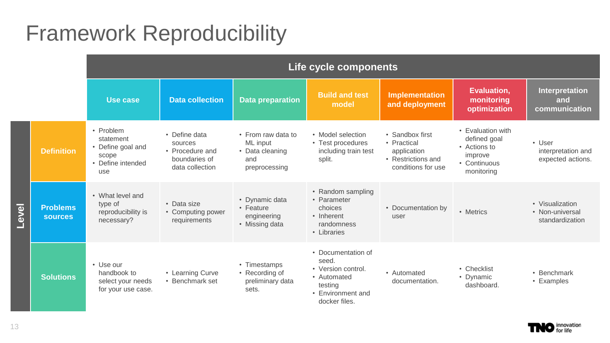### Framework Reproducibility

|       |                                   | Life cycle components                                                            |                                                                                 |                                                                           |                                                                                                                   |                                                                                           |                                                                                            |                                                       |
|-------|-----------------------------------|----------------------------------------------------------------------------------|---------------------------------------------------------------------------------|---------------------------------------------------------------------------|-------------------------------------------------------------------------------------------------------------------|-------------------------------------------------------------------------------------------|--------------------------------------------------------------------------------------------|-------------------------------------------------------|
|       |                                   | Use case                                                                         | <b>Data collection</b>                                                          | <b>Data preparation</b>                                                   | <b>Build and test</b><br>model                                                                                    | <b>Implementation</b><br>and deployment                                                   | <b>Evaluation,</b><br>monitoring<br>optimization                                           | Interpretation<br>and<br>communication                |
| Level | <b>Definition</b>                 | • Problem<br>statement<br>• Define goal and<br>scope<br>• Define intended<br>use | • Define data<br>sources<br>• Procedure and<br>boundaries of<br>data collection | • From raw data to<br>ML input<br>• Data cleaning<br>and<br>preprocessing | • Model selection<br>• Test procedures<br>including train test<br>split.                                          | • Sandbox first<br>• Practical<br>application<br>• Restrictions and<br>conditions for use | • Evaluation with<br>defined goal<br>• Actions to<br>improve<br>• Continuous<br>monitoring | • User<br>interpretation and<br>expected actions.     |
|       | <b>Problems</b><br><b>sources</b> | • What level and<br>type of<br>reproducibility is<br>necessary?                  | • Data size<br>• Computing power<br>requirements                                | • Dynamic data<br>• Feature<br>engineering<br>• Missing data              | • Random sampling<br>• Parameter<br>choices<br>• Inherent<br>randomness<br>• Libraries                            | • Documentation by<br>user                                                                | • Metrics                                                                                  | • Visualization<br>• Non-universal<br>standardization |
|       | <b>Solutions</b>                  | • Use our<br>handbook to<br>select your needs<br>for your use case.              | • Learning Curve<br>• Benchmark set                                             | • Timestamps<br>• Recording of<br>preliminary data<br>sets.               | • Documentation of<br>seed.<br>• Version control.<br>• Automated<br>testing<br>• Environment and<br>docker files. | • Automated<br>documentation.                                                             | • Checklist<br>• Dynamic<br>dashboard.                                                     | • Benchmark<br>• Examples                             |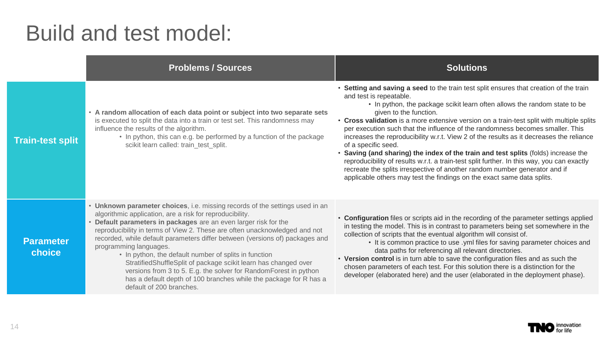#### Build and test model:

|                            | <b>Problems / Sources</b>                                                                                                                                                                                                                                                                                                                                                                                                                                                                                                                                                                                                                                                                             | <b>Solutions</b>                                                                                                                                                                                                                                                                                                                                                                                                                                                                                                                                                                                                                                                                                                                                                                                                                                                     |
|----------------------------|-------------------------------------------------------------------------------------------------------------------------------------------------------------------------------------------------------------------------------------------------------------------------------------------------------------------------------------------------------------------------------------------------------------------------------------------------------------------------------------------------------------------------------------------------------------------------------------------------------------------------------------------------------------------------------------------------------|----------------------------------------------------------------------------------------------------------------------------------------------------------------------------------------------------------------------------------------------------------------------------------------------------------------------------------------------------------------------------------------------------------------------------------------------------------------------------------------------------------------------------------------------------------------------------------------------------------------------------------------------------------------------------------------------------------------------------------------------------------------------------------------------------------------------------------------------------------------------|
| <b>Train-test split</b>    | • A random allocation of each data point or subject into two separate sets<br>is executed to split the data into a train or test set. This randomness may<br>influence the results of the algorithm.<br>• In python, this can e.g. be performed by a function of the package<br>scikit learn called: train_test_split.                                                                                                                                                                                                                                                                                                                                                                                | • Setting and saving a seed to the train test split ensures that creation of the train<br>and test is repeatable.<br>• In python, the package scikit learn often allows the random state to be<br>given to the function.<br>• Cross validation is a more extensive version on a train-test split with multiple splits<br>per execution such that the influence of the randomness becomes smaller. This<br>increases the reproducibility w.r.t. View 2 of the results as it decreases the reliance<br>of a specific seed.<br>• Saving (and sharing) the index of the train and test splits (folds) increase the<br>reproducibility of results w.r.t. a train-test split further. In this way, you can exactly<br>recreate the splits irrespective of another random number generator and if<br>applicable others may test the findings on the exact same data splits. |
| <b>Parameter</b><br>choice | • Unknown parameter choices, i.e. missing records of the settings used in an<br>algorithmic application, are a risk for reproducibility.<br>• Default parameters in packages are an even larger risk for the<br>reproducibility in terms of View 2. These are often unacknowledged and not<br>recorded, while default parameters differ between (versions of) packages and<br>programming languages.<br>• In python, the default number of splits in function<br>StratifiedShuffleSplit of package scikit learn has changed over<br>versions from 3 to 5. E.g. the solver for RandomForest in python<br>has a default depth of 100 branches while the package for R has a<br>default of 200 branches. | • Configuration files or scripts aid in the recording of the parameter settings applied<br>in testing the model. This is in contrast to parameters being set somewhere in the<br>collection of scripts that the eventual algorithm will consist of.<br>• It is common practice to use .yml files for saving parameter choices and<br>data paths for referencing all relevant directories.<br>• Version control is in turn able to save the configuration files and as such the<br>chosen parameters of each test. For this solution there is a distinction for the<br>developer (elaborated here) and the user (elaborated in the deployment phase).                                                                                                                                                                                                                 |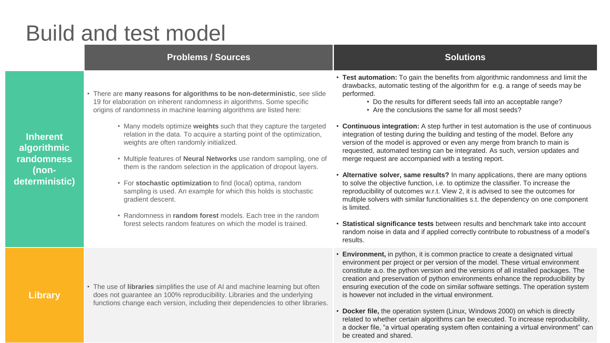#### Build and test model

#### **Problems / Sources Solutions Solutions**

**Inherent algorithmic randomness (nondeterministic)**  • There are **many reasons for algorithms to be non-deterministic**, see slide 19 for elaboration on inherent randomness in algorithms. Some specific origins of randomness in machine learning algorithms are listed here:

- Many models optimize **weights** such that they capture the targeted relation in the data. To acquire a starting point of the optimization, weights are often randomly initialized.
- Multiple features of **Neural Networks** use random sampling, one of them is the random selection in the application of dropout layers.
- For **stochastic optimization** to find (local) optima, random sampling is used. An example for which this holds is stochastic gradient descent.
- Randomness in **random forest** models. Each tree in the random forest selects random features on which the model is trained.

• The use of **libraries** simplifies the use of AI and machine learning but often does not guarantee an 100% reproducibility. Libraries and the underlying functions change each version, including their dependencies to other libraries. • **Test automation:** To gain the benefits from algorithmic randomness and limit the drawbacks, automatic testing of the algorithm for e.g. a range of seeds may be performed.

- Do the results for different seeds fall into an acceptable range?
- Are the conclusions the same for all most seeds?
- **Continuous integration:** A step further in test automation is the use of continuous integration of testing during the building and testing of the model. Before any version of the model is approved or even any merge from branch to main is requested, automated testing can be integrated. As such, version updates and merge request are accompanied with a testing report.
- **Alternative solver, same results?** In many applications, there are many options to solve the objective function, i.e. to optimize the classifier. To increase the reproducibility of outcomes w.r.t. View 2, it is advised to see the outcomes for multiple solvers with similar functionalities s.t. the dependency on one component is limited.
- **Statistical significance tests** between results and benchmark take into account random noise in data and if applied correctly contribute to robustness of a model's results.
- **Environment,** in python, it is common practice to create a designated virtual environment per project or per version of the model. These virtual environment constitute a.o. the python version and the versions of all installed packages. The creation and preservation of python environments enhance the reproducibility by ensuring execution of the code on similar software settings. The operation system is however not included in the virtual environment.
- **Docker file,** the operation system (Linux, Windows 2000) on which is directly related to whether certain algorithms can be executed. To increase reproducibility, a docker file, "a virtual operating system often containing a virtual environment" can be created and shared.

**Library** 

15 | SlideSalad.com | 2020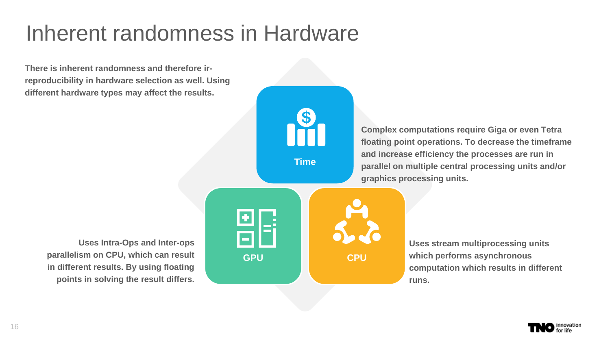## Inherent randomness in Hardware

**There is inherent randomness and therefore irreproducibility in hardware selection as well. Using different hardware types may affect the results.**



**Time**

**Complex computations require Giga or even Tetra floating point operations. To decrease the timeframe and increase efficiency the processes are run in parallel on multiple central processing units and/or graphics processing units.** 

**Uses Intra-Ops and Inter-ops parallelism on CPU, which can result in different results. By using floating points in solving the result differs.**



**Uses stream multiprocessing units which performs asynchronous computation which results in different runs.** 

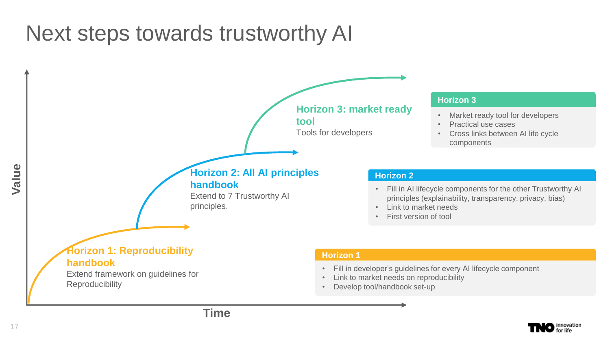#### Next steps towards trustworthy AI



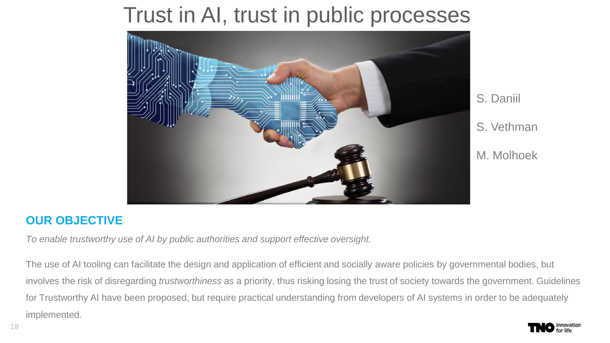#### Trust in AI, trust in public processes



#### S. Daniil S. Vethman M. Molhoek

#### **OUR OBJECTIVE**

*To enable trustworthy use of AI by public authorities and support effective oversight.*

The use of AI tooling can facilitate the design and application of efficient and socially aware policies by governmental bodies, but involves the risk of disregarding *trustworthiness* as a priority, thus risking losing the trust of society towards the government. Guidelines for Trustworthy AI have been proposed, but require practical understanding from developers of AI systems in order to be adequately implemented.